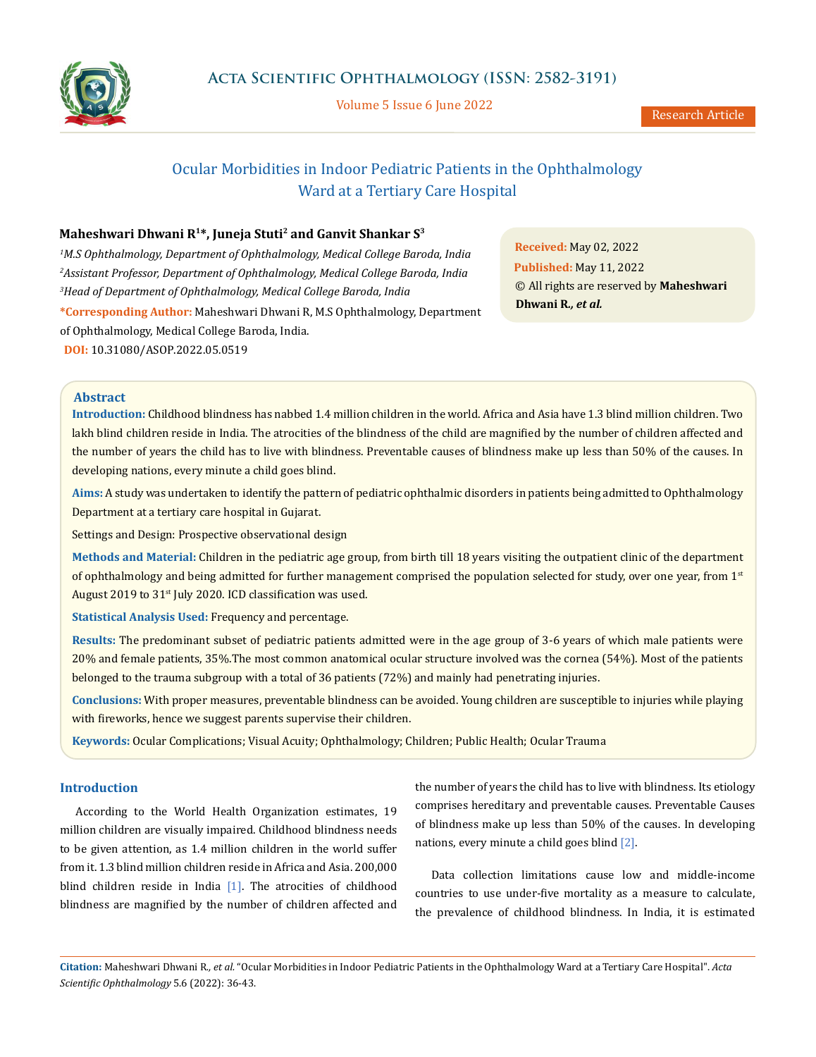

Volume 5 Issue 6 June 2022

# Ocular Morbidities in Indoor Pediatric Patients in the Ophthalmology Ward at a Tertiary Care Hospital

# **Maheshwari Dhwani R1\*, Juneja Stuti2 and Ganvit Shankar S3**

*1 M.S Ophthalmology, Department of Ophthalmology, Medical College Baroda, India 2 Assistant Professor, Department of Ophthalmology, Medical College Baroda, India 3 Head of Department of Ophthalmology, Medical College Baroda, India* **\*Corresponding Author:** Maheshwari Dhwani R, M.S Ophthalmology, Department of Ophthalmology, Medical College Baroda, India. **DOI:** [10.31080/ASOP.2022.05.0519](https://actascientific.com/ASOP/pdf/ASOP-05-0519.pdf)

**Received:** May 02, 2022 **Published:** May 11, 2022 © All rights are reserved by **Maheshwari Dhwani R***., et al.* 

# **Abstract**

**Introduction:** Childhood blindness has nabbed 1.4 million children in the world. Africa and Asia have 1.3 blind million children. Two lakh blind children reside in India. The atrocities of the blindness of the child are magnified by the number of children affected and the number of years the child has to live with blindness. Preventable causes of blindness make up less than 50% of the causes. In developing nations, every minute a child goes blind.

**Aims:** A study was undertaken to identify the pattern of pediatric ophthalmic disorders in patients being admitted to Ophthalmology Department at a tertiary care hospital in Gujarat.

Settings and Design: Prospective observational design

**Methods and Material:** Children in the pediatric age group, from birth till 18 years visiting the outpatient clinic of the department of ophthalmology and being admitted for further management comprised the population selected for study, over one year, from 1st August 2019 to 31<sup>st</sup> July 2020. ICD classification was used.

**Statistical Analysis Used:** Frequency and percentage.

**Results:** The predominant subset of pediatric patients admitted were in the age group of 3-6 years of which male patients were 20% and female patients, 35%.The most common anatomical ocular structure involved was the cornea (54%). Most of the patients belonged to the trauma subgroup with a total of 36 patients (72%) and mainly had penetrating injuries.

**Conclusions:** With proper measures, preventable blindness can be avoided. Young children are susceptible to injuries while playing with fireworks, hence we suggest parents supervise their children.

**Keywords:** Ocular Complications; Visual Acuity; Ophthalmology; Children; Public Health; Ocular Trauma

# **Introduction**

According to the World Health Organization estimates, 19 million children are visually impaired. Childhood blindness needs to be given attention, as 1.4 million children in the world suffer from it. 1.3 blind million children reside in Africa and Asia. 200,000 blind children reside in India [1]. The atrocities of childhood blindness are magnified by the number of children affected and the number of years the child has to live with blindness. Its etiology comprises hereditary and preventable causes. Preventable Causes of blindness make up less than 50% of the causes. In developing nations, every minute a child goes blind [2].

Data collection limitations cause low and middle-income countries to use under-five mortality as a measure to calculate, the prevalence of childhood blindness. In India, it is estimated

**Citation:** Maheshwari Dhwani R*., et al.* "Ocular Morbidities in Indoor Pediatric Patients in the Ophthalmology Ward at a Tertiary Care Hospital". *Acta Scientific Ophthalmology* 5.6 (2022): 36-43.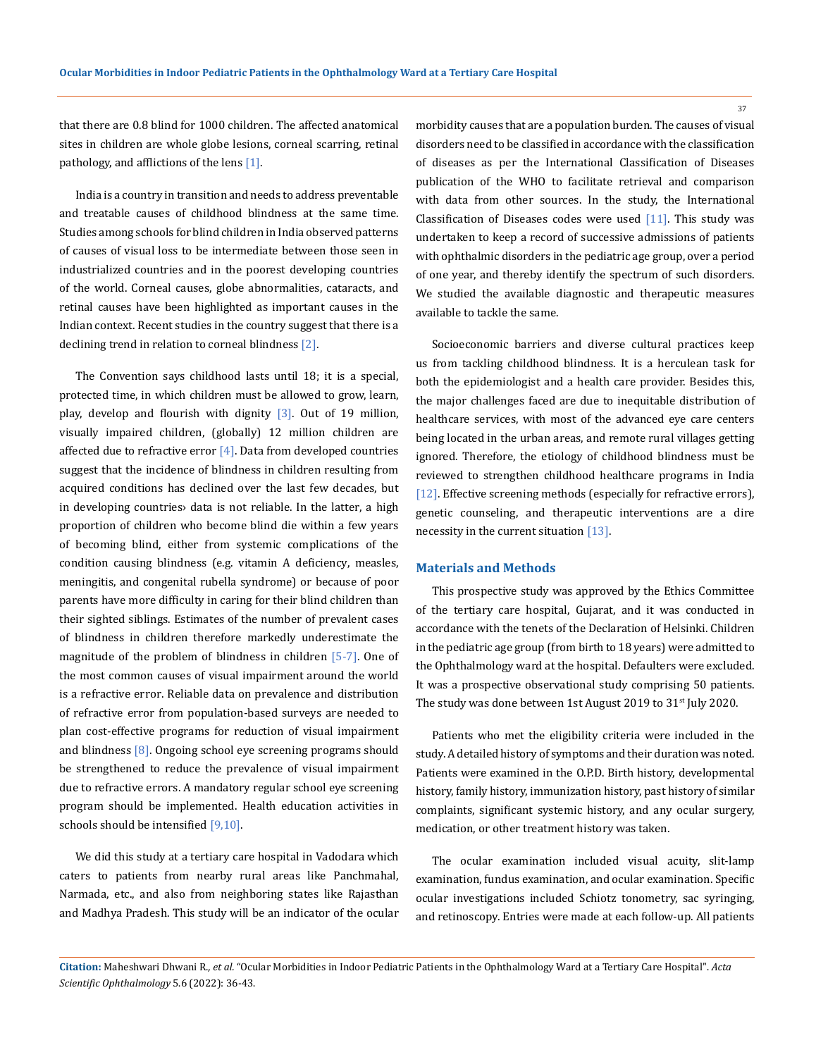that there are 0.8 blind for 1000 children. The affected anatomical sites in children are whole globe lesions, corneal scarring, retinal pathology, and afflictions of the lens  $[1]$ .

India is a country in transition and needs to address preventable and treatable causes of childhood blindness at the same time. Studies among schools for blind children in India observed patterns of causes of visual loss to be intermediate between those seen in industrialized countries and in the poorest developing countries of the world. Corneal causes, globe abnormalities, cataracts, and retinal causes have been highlighted as important causes in the Indian context. Recent studies in the country suggest that there is a declining trend in relation to corneal blindness [2].

The Convention says childhood lasts until 18; it is a special, protected time, in which children must be allowed to grow, learn, play, develop and flourish with dignity  $\lceil 3 \rceil$ . Out of 19 million, visually impaired children, (globally) 12 million children are affected due to refractive error  $[4]$ . Data from developed countries suggest that the incidence of blindness in children resulting from acquired conditions has declined over the last few decades, but in developing countries› data is not reliable. In the latter, a high proportion of children who become blind die within a few years of becoming blind, either from systemic complications of the condition causing blindness (e.g. vitamin A deficiency, measles, meningitis, and congenital rubella syndrome) or because of poor parents have more difficulty in caring for their blind children than their sighted siblings. Estimates of the number of prevalent cases of blindness in children therefore markedly underestimate the magnitude of the problem of blindness in children [5-7]. One of the most common causes of visual impairment around the world is a refractive error. Reliable data on prevalence and distribution of refractive error from population-based surveys are needed to plan cost-effective programs for reduction of visual impairment and blindness [8]. Ongoing school eye screening programs should be strengthened to reduce the prevalence of visual impairment due to refractive errors. A mandatory regular school eye screening program should be implemented. Health education activities in schools should be intensified [9,10].

We did this study at a tertiary care hospital in Vadodara which caters to patients from nearby rural areas like Panchmahal, Narmada, etc., and also from neighboring states like Rajasthan and Madhya Pradesh. This study will be an indicator of the ocular

morbidity causes that are a population burden. The causes of visual disorders need to be classified in accordance with the classification of diseases as per the International Classification of Diseases publication of the WHO to facilitate retrieval and comparison with data from other sources. In the study, the International Classification of Diseases codes were used  $[11]$ . This study was undertaken to keep a record of successive admissions of patients with ophthalmic disorders in the pediatric age group, over a period of one year, and thereby identify the spectrum of such disorders. We studied the available diagnostic and therapeutic measures available to tackle the same.

Socioeconomic barriers and diverse cultural practices keep us from tackling childhood blindness. It is a herculean task for both the epidemiologist and a health care provider. Besides this, the major challenges faced are due to inequitable distribution of healthcare services, with most of the advanced eye care centers being located in the urban areas, and remote rural villages getting ignored. Therefore, the etiology of childhood blindness must be reviewed to strengthen childhood healthcare programs in India [12]. Effective screening methods (especially for refractive errors), genetic counseling, and therapeutic interventions are a dire necessity in the current situation [13].

#### **Materials and Methods**

This prospective study was approved by the Ethics Committee of the tertiary care hospital, Gujarat, and it was conducted in accordance with the tenets of the Declaration of Helsinki. Children in the pediatric age group (from birth to 18 years) were admitted to the Ophthalmology ward at the hospital. Defaulters were excluded. It was a prospective observational study comprising 50 patients. The study was done between 1st August 2019 to 31<sup>st</sup> July 2020.

Patients who met the eligibility criteria were included in the study. A detailed history of symptoms and their duration was noted. Patients were examined in the O.P.D. Birth history, developmental history, family history, immunization history, past history of similar complaints, significant systemic history, and any ocular surgery, medication, or other treatment history was taken.

The ocular examination included visual acuity, slit-lamp examination, fundus examination, and ocular examination. Specific ocular investigations included Schiotz tonometry, sac syringing, and retinoscopy. Entries were made at each follow-up. All patients

**Citation:** Maheshwari Dhwani R*., et al.* "Ocular Morbidities in Indoor Pediatric Patients in the Ophthalmology Ward at a Tertiary Care Hospital". *Acta Scientific Ophthalmology* 5.6 (2022): 36-43.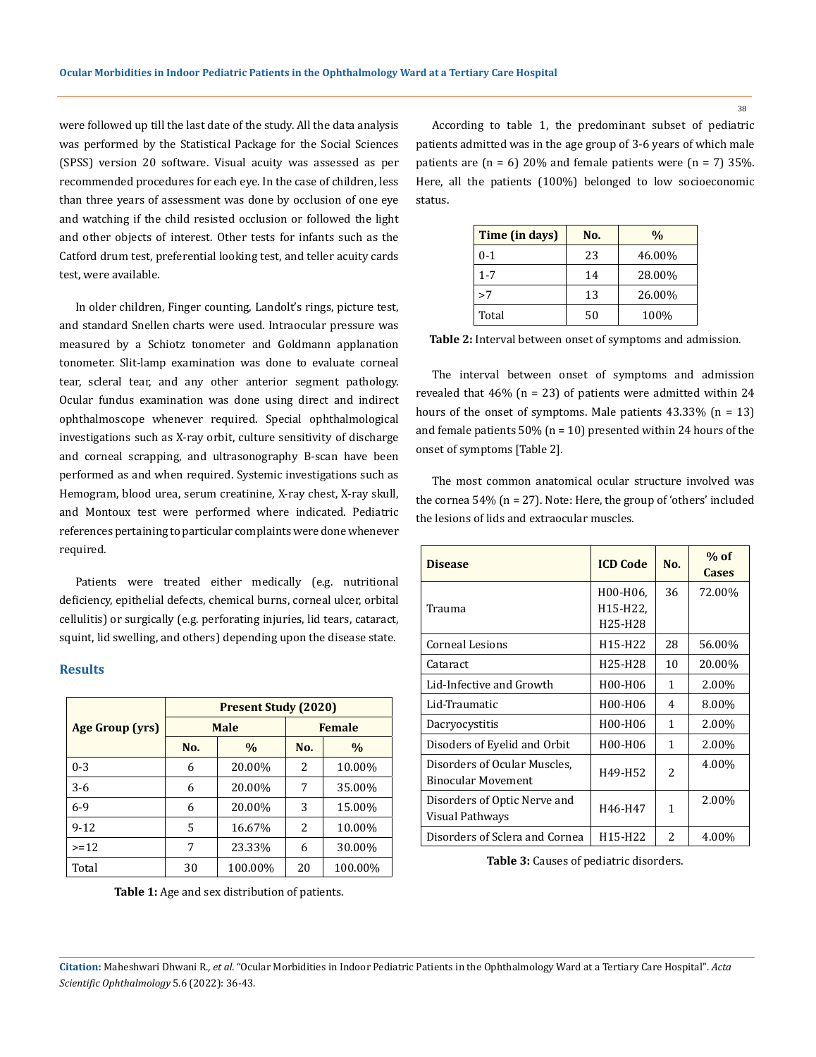were followed up till the last date of the study. All the data analysis was performed by the Statistical Package for the Social Sciences (SPSS) version 20 software. Visual acuity was assessed as per recommended procedures for each eye. In the case of children, less than three years of assessment was done by occlusion of one eye and watching if the child resisted occlusion or followed the light and other objects of interest. Other tests for infants such as the Catford drum test, preferential looking test, and teller acuity cards test, were available.

In older children, Finger counting, Landolt's rings, picture test, and standard Snellen charts were used. Intraocular pressure was measured by a Schiotz tonometer and Goldmann applanation tonometer. Slit-lamp examination was done to evaluate corneal tear, scleral tear, and any other anterior segment pathology. Ocular fundus examination was done using direct and indirect ophthalmoscope whenever required. Special ophthalmological investigations such as X-ray orbit, culture sensitivity of discharge and corneal scrapping, and ultrasonography B-scan have been performed as and when required. Systemic investigations such as Hemogram, blood urea, serum creatinine, X-ray chest, X-ray skull, and Montoux test were performed where indicated. Pediatric references pertaining to particular complaints were done whenever required.

Patients were treated either medically (e.g. nutritional deficiency, epithelial defects, chemical burns, corneal ulcer, orbital cellulitis) or surgically (e.g. perforating injuries, lid tears, cataract, squint, lid swelling, and others) depending upon the disease state.

### **Results**

|                        | <b>Present Study (2020)</b> |               |               |               |  |
|------------------------|-----------------------------|---------------|---------------|---------------|--|
| <b>Age Group (yrs)</b> | <b>Male</b>                 |               | <b>Female</b> |               |  |
|                        | No.                         | $\frac{0}{0}$ | No.           | $\frac{0}{0}$ |  |
| $0 - 3$                | 6                           | 20.00%        | 2             | 10.00%        |  |
| $3-6$                  | 6                           | 20.00%        | 7             | 35.00%        |  |
| $6-9$                  | 6                           | 20.00%        | 3             | 15.00%        |  |
| $9 - 12$               | 5                           | 16.67%        | 2             | 10.00%        |  |
| $>=12$                 | 7                           | 23.33%        | 6             | 30.00%        |  |
| Total                  | 30                          | 100.00%       | 20            | 100.00%       |  |

**Table 1:** Age and sex distribution of patients.

According to table 1, the predominant subset of pediatric patients admitted was in the age group of 3-6 years of which male patients are  $(n = 6)$  20% and female patients were  $(n = 7)$  35%. Here, all the patients (100%) belonged to low socioeconomic status.

| Time (in days) | No. | $\frac{0}{0}$ |
|----------------|-----|---------------|
| $0 - 1$        | 23  | 46.00%        |
| $1 - 7$        | 14  | 28.00%        |
| >7             | 13  | 26.00%        |
| Total          | 50  | 100%          |

| Table 2: Interval between onset of symptoms and admission. |  |
|------------------------------------------------------------|--|
|                                                            |  |

The interval between onset of symptoms and admission revealed that  $46\%$  (n = 23) of patients were admitted within 24 hours of the onset of symptoms. Male patients  $43.33\%$  (n = 13) and female patients  $50\%$  (n = 10) presented within 24 hours of the onset of symptoms [Table 2].

The most common anatomical ocular structure involved was the cornea 54% (n = 27). Note: Here, the group of 'others' included the lesions of lids and extraocular muscles.

| <b>Disease</b>                 | <b>ICD Code</b>                  | No.          | $%$ of<br><b>Cases</b> |
|--------------------------------|----------------------------------|--------------|------------------------|
|                                | H00-H06.                         | 36           | 72.00%                 |
| Trauma                         | H15-H22,                         |              |                        |
|                                | H <sub>25</sub> -H <sub>28</sub> |              |                        |
| <b>Corneal Lesions</b>         | H <sub>15</sub> -H <sub>22</sub> | 28           | 56.00%                 |
| Cataract                       | H <sub>25</sub> -H <sub>28</sub> | 10           | 20.00%                 |
| Lid-Infective and Growth       | H00-H06                          | $\mathbf{1}$ | 2.00%                  |
| Lid-Traumatic                  | H00-H06                          | 4            | 8.00%                  |
| Dacryocystitis                 | H00-H06                          | 1            | 2.00%                  |
| Disoders of Eyelid and Orbit   | H00-H06                          | $\mathbf{1}$ | 2.00%                  |
| Disorders of Ocular Muscles,   | H49-H52                          | 2            | 4.00%                  |
| <b>Binocular Movement</b>      |                                  |              |                        |
| Disorders of Optic Nerve and   |                                  | 1            | 2.00%                  |
| Visual Pathways                | H46-H47                          |              |                        |
| Disorders of Sclera and Cornea | H <sub>15</sub> -H <sub>22</sub> | 2            | 4.00%                  |

**Table 3:** Causes of pediatric disorders.

**Citation:** Maheshwari Dhwani R*., et al.* "Ocular Morbidities in Indoor Pediatric Patients in the Ophthalmology Ward at a Tertiary Care Hospital". *Acta Scientific Ophthalmology* 5.6 (2022): 36-43.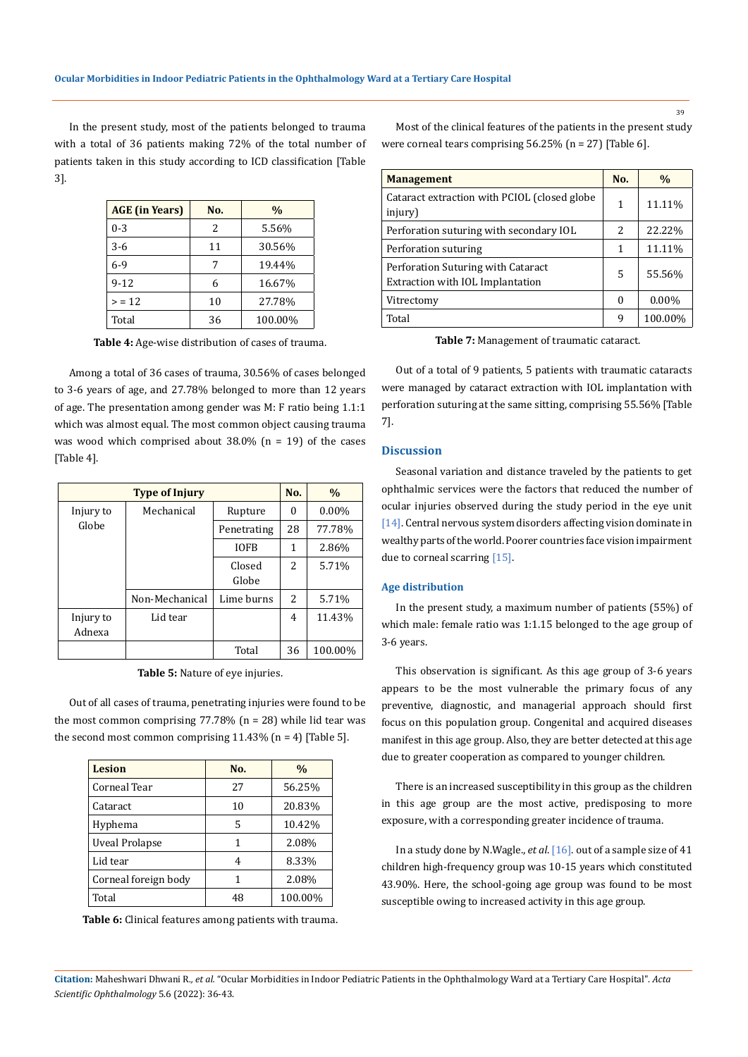In the present study, most of the patients belonged to trauma with a total of 36 patients making 72% of the total number of patients taken in this study according to ICD classification [Table 3].

| <b>AGE</b> (in Years) | No. | $\%$    |
|-----------------------|-----|---------|
| $0 - 3$               | 2   | 5.56%   |
| $3-6$                 | 11  | 30.56%  |
| $6-9$                 |     | 19.44%  |
| $9 - 12$              |     | 16.67%  |
| > 12                  | 10  | 27.78%  |
| Total                 | 36  | 100.00% |

**Table 4:** Age-wise distribution of cases of trauma.

Among a total of 36 cases of trauma, 30.56% of cases belonged to 3-6 years of age, and 27.78% belonged to more than 12 years of age. The presentation among gender was M: F ratio being 1.1:1 which was almost equal. The most common object causing trauma was wood which comprised about  $38.0\%$  (n = 19) of the cases [Table 4].

| <b>Type of Injury</b> |                |                 |    | $\%$     |
|-----------------------|----------------|-----------------|----|----------|
| Injury to             | Mechanical     | Rupture         | 0  | $0.00\%$ |
| Globe                 |                | Penetrating     | 28 | 77.78%   |
|                       |                | <b>IOFB</b>     | 1  | 2.86%    |
|                       |                | Closed<br>Globe | 2  | 5.71%    |
|                       | Non-Mechanical | Lime burns      | 2  | 5.71%    |
| Injury to<br>Adnexa   | Lid tear       |                 | 4  | 11.43%   |
|                       |                | Total           | 36 | 100.00%  |

**Table 5:** Nature of eye injuries.

Out of all cases of trauma, penetrating injuries were found to be the most common comprising  $77.78\%$  (n = 28) while lid tear was the second most common comprising  $11.43\%$  (n = 4) [Table 5].

| Lesion               | No. | $\frac{0}{0}$ |
|----------------------|-----|---------------|
| Corneal Tear         | 27  | 56.25%        |
| Cataract             | 10  | 20.83%        |
| Hyphema              | 5   | 10.42%        |
| Uveal Prolapse       | 1   | 2.08%         |
| Lid tear             | 4   | 8.33%         |
| Corneal foreign body | 1   | 2.08%         |
| Total                | 48  | 100.00%       |

**Table 6:** Clinical features among patients with trauma.

Most of the clinical features of the patients in the present study were corneal tears comprising 56.25% (n = 27) [Table 6].

| <b>Management</b>                                                      | No.            | $\frac{0}{0}$ |
|------------------------------------------------------------------------|----------------|---------------|
| Cataract extraction with PCIOL (closed globe)<br>injury)               | 1              | 11.11%        |
| Perforation suturing with secondary IOL                                | $\overline{2}$ | 22.22%        |
| Perforation suturing                                                   | 1              | 11.11%        |
| Perforation Suturing with Cataract<br>Extraction with IOL Implantation | 5              | 55.56%        |
| Vitrectomy                                                             | 0              | $0.00\%$      |
| Total                                                                  | q              | 100.00%       |

**Table 7:** Management of traumatic cataract.

Out of a total of 9 patients, 5 patients with traumatic cataracts were managed by cataract extraction with IOL implantation with perforation suturing at the same sitting, comprising 55.56% [Table 7].

# **Discussion**

Seasonal variation and distance traveled by the patients to get ophthalmic services were the factors that reduced the number of ocular injuries observed during the study period in the eye unit [14]. Central nervous system disorders affecting vision dominate in wealthy parts of the world. Poorer countries face vision impairment due to corneal scarring [15].

#### **Age distribution**

In the present study, a maximum number of patients (55%) of which male: female ratio was 1:1.15 belonged to the age group of 3-6 years.

This observation is significant. As this age group of 3-6 years appears to be the most vulnerable the primary focus of any preventive, diagnostic, and managerial approach should first focus on this population group. Congenital and acquired diseases manifest in this age group. Also, they are better detected at this age due to greater cooperation as compared to younger children.

There is an increased susceptibility in this group as the children in this age group are the most active, predisposing to more exposure, with a corresponding greater incidence of trauma.

In a study done by N.Wagle., *et al*. [16]. out of a sample size of 41 children high-frequency group was 10-15 years which constituted 43.90%. Here, the school-going age group was found to be most susceptible owing to increased activity in this age group.

**Citation:** Maheshwari Dhwani R*., et al.* "Ocular Morbidities in Indoor Pediatric Patients in the Ophthalmology Ward at a Tertiary Care Hospital". *Acta Scientific Ophthalmology* 5.6 (2022): 36-43.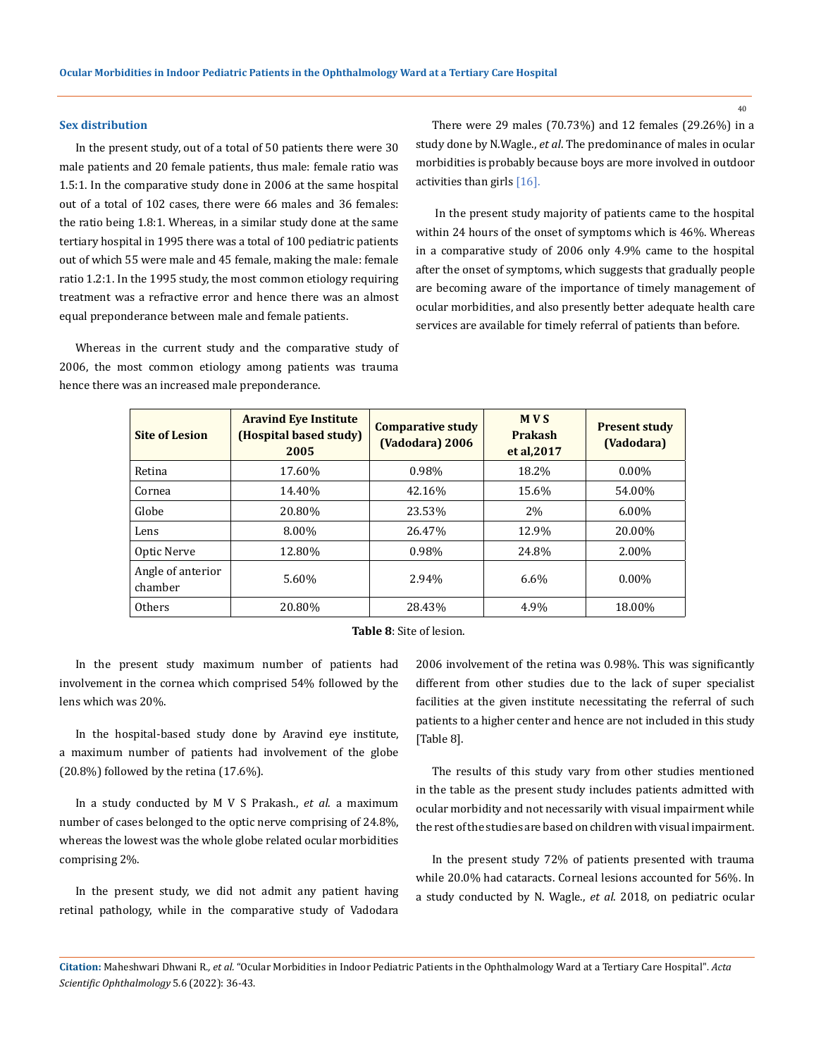#### **Sex distribution**

In the present study, out of a total of 50 patients there were 30 male patients and 20 female patients, thus male: female ratio was 1.5:1. In the comparative study done in 2006 at the same hospital out of a total of 102 cases, there were 66 males and 36 females: the ratio being 1.8:1. Whereas, in a similar study done at the same tertiary hospital in 1995 there was a total of 100 pediatric patients out of which 55 were male and 45 female, making the male: female ratio 1.2:1. In the 1995 study, the most common etiology requiring treatment was a refractive error and hence there was an almost equal preponderance between male and female patients.

Whereas in the current study and the comparative study of 2006, the most common etiology among patients was trauma hence there was an increased male preponderance.

There were 29 males (70.73%) and 12 females (29.26%) in a study done by N.Wagle., *et al*. The predominance of males in ocular morbidities is probably because boys are more involved in outdoor activities than girls [16].

In the present study majority of patients came to the hospital within 24 hours of the onset of symptoms which is 46%. Whereas in a comparative study of 2006 only 4.9% came to the hospital after the onset of symptoms, which suggests that gradually people are becoming aware of the importance of timely management of ocular morbidities, and also presently better adequate health care services are available for timely referral of patients than before.

| <b>Site of Lesion</b>        | <b>Aravind Eye Institute</b><br>(Hospital based study)<br>2005 | <b>Comparative study</b><br>(Vadodara) 2006 | <b>MVS</b><br><b>Prakash</b><br>et al, 2017 | <b>Present study</b><br>(Vadodara) |
|------------------------------|----------------------------------------------------------------|---------------------------------------------|---------------------------------------------|------------------------------------|
| Retina                       | 17.60%                                                         | 0.98%                                       | 18.2%                                       | $0.00\%$                           |
| Cornea                       | 14.40%                                                         | 42.16%                                      | 15.6%                                       | 54.00%                             |
| Globe                        | 20.80%                                                         | 23.53%                                      | 2%                                          | $6.00\%$                           |
| Lens                         | 8.00%                                                          | 26.47%                                      | 12.9%                                       | 20.00%                             |
| Optic Nerve                  | 12.80%                                                         | 0.98%                                       | 24.8%                                       | 2.00%                              |
| Angle of anterior<br>chamber | 5.60%                                                          | 2.94%                                       | 6.6%                                        | $0.00\%$                           |
| <b>Others</b>                | 20.80%                                                         | 28.43%                                      | 4.9%                                        | 18.00%                             |

**Table 8**: Site of lesion.

In the present study maximum number of patients had involvement in the cornea which comprised 54% followed by the lens which was 20%.

In the hospital-based study done by Aravind eye institute, a maximum number of patients had involvement of the globe (20.8%) followed by the retina (17.6%).

In a study conducted by M V S Prakash., *et al*. a maximum number of cases belonged to the optic nerve comprising of 24.8%, whereas the lowest was the whole globe related ocular morbidities comprising 2%.

In the present study, we did not admit any patient having retinal pathology, while in the comparative study of Vadodara 2006 involvement of the retina was 0.98%. This was significantly different from other studies due to the lack of super specialist facilities at the given institute necessitating the referral of such patients to a higher center and hence are not included in this study [Table 8].

The results of this study vary from other studies mentioned in the table as the present study includes patients admitted with ocular morbidity and not necessarily with visual impairment while the rest of the studies are based on children with visual impairment.

In the present study 72% of patients presented with trauma while 20.0% had cataracts. Corneal lesions accounted for 56%. In a study conducted by N. Wagle., *et al*. 2018, on pediatric ocular

**Citation:** Maheshwari Dhwani R*., et al.* "Ocular Morbidities in Indoor Pediatric Patients in the Ophthalmology Ward at a Tertiary Care Hospital". *Acta Scientific Ophthalmology* 5.6 (2022): 36-43.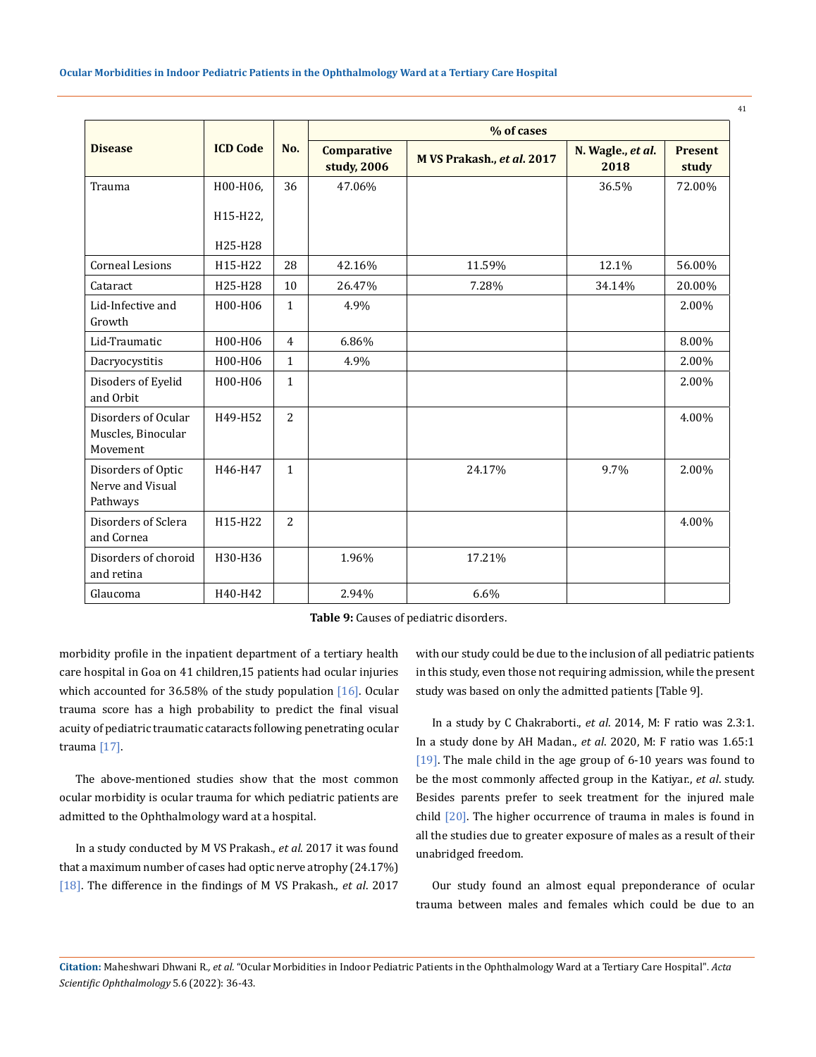|                                                       |                 |                | % of cases                        |                            |                           |                         |
|-------------------------------------------------------|-----------------|----------------|-----------------------------------|----------------------------|---------------------------|-------------------------|
| <b>Disease</b>                                        | <b>ICD Code</b> | No.            | <b>Comparative</b><br>study, 2006 | M VS Prakash., et al. 2017 | N. Wagle., et al.<br>2018 | <b>Present</b><br>study |
| Trauma                                                | H00-H06,        | 36             | 47.06%                            |                            | 36.5%                     | 72.00%                  |
|                                                       | H15-H22,        |                |                                   |                            |                           |                         |
|                                                       | H25-H28         |                |                                   |                            |                           |                         |
| Corneal Lesions                                       | H15-H22         | 28             | 42.16%                            | 11.59%                     | 12.1%                     | 56.00%                  |
| Cataract                                              | H25-H28         | 10             | 26.47%                            | 7.28%                      | 34.14%                    | 20.00%                  |
| Lid-Infective and<br>Growth                           | H00-H06         | $\mathbf{1}$   | 4.9%                              |                            |                           | 2.00%                   |
| Lid-Traumatic                                         | H00-H06         | $\overline{4}$ | 6.86%                             |                            |                           | 8.00%                   |
| Dacryocystitis                                        | H00-H06         | $\mathbf{1}$   | 4.9%                              |                            |                           | 2.00%                   |
| Disoders of Eyelid<br>and Orbit                       | H00-H06         | $\mathbf{1}$   |                                   |                            |                           | 2.00%                   |
| Disorders of Ocular<br>Muscles, Binocular<br>Movement | H49-H52         | $\overline{2}$ |                                   |                            |                           | 4.00%                   |
| Disorders of Optic<br>Nerve and Visual<br>Pathways    | H46-H47         | $\mathbf{1}$   |                                   | 24.17%                     | 9.7%                      | 2.00%                   |
| Disorders of Sclera<br>and Cornea                     | H15-H22         | 2              |                                   |                            |                           | 4.00%                   |
| Disorders of choroid<br>and retina                    | H30-H36         |                | 1.96%                             | 17.21%                     |                           |                         |
| Glaucoma                                              | H40-H42         |                | 2.94%                             | 6.6%                       |                           |                         |

**Table 9:** Causes of pediatric disorders.

morbidity profile in the inpatient department of a tertiary health care hospital in Goa on 41 children,15 patients had ocular injuries which accounted for 36.58% of the study population  $[16]$ . Ocular trauma score has a high probability to predict the final visual acuity of pediatric traumatic cataracts following penetrating ocular trauma [17].

The above-mentioned studies show that the most common ocular morbidity is ocular trauma for which pediatric patients are admitted to the Ophthalmology ward at a hospital.

In a study conducted by M VS Prakash., *et al*. 2017 it was found that a maximum number of cases had optic nerve atrophy (24.17%) [18]. The difference in the findings of M VS Prakash., *et al*. 2017 with our study could be due to the inclusion of all pediatric patients in this study, even those not requiring admission, while the present study was based on only the admitted patients [Table 9].

In a study by C Chakraborti., *et al*. 2014, M: F ratio was 2.3:1. In a study done by AH Madan., *et al*. 2020, M: F ratio was 1.65:1 [19]. The male child in the age group of 6-10 years was found to be the most commonly affected group in the Katiyar., *et al*. study. Besides parents prefer to seek treatment for the injured male child [20]. The higher occurrence of trauma in males is found in all the studies due to greater exposure of males as a result of their unabridged freedom.

Our study found an almost equal preponderance of ocular trauma between males and females which could be due to an

**Citation:** Maheshwari Dhwani R*., et al.* "Ocular Morbidities in Indoor Pediatric Patients in the Ophthalmology Ward at a Tertiary Care Hospital". *Acta Scientific Ophthalmology* 5.6 (2022): 36-43.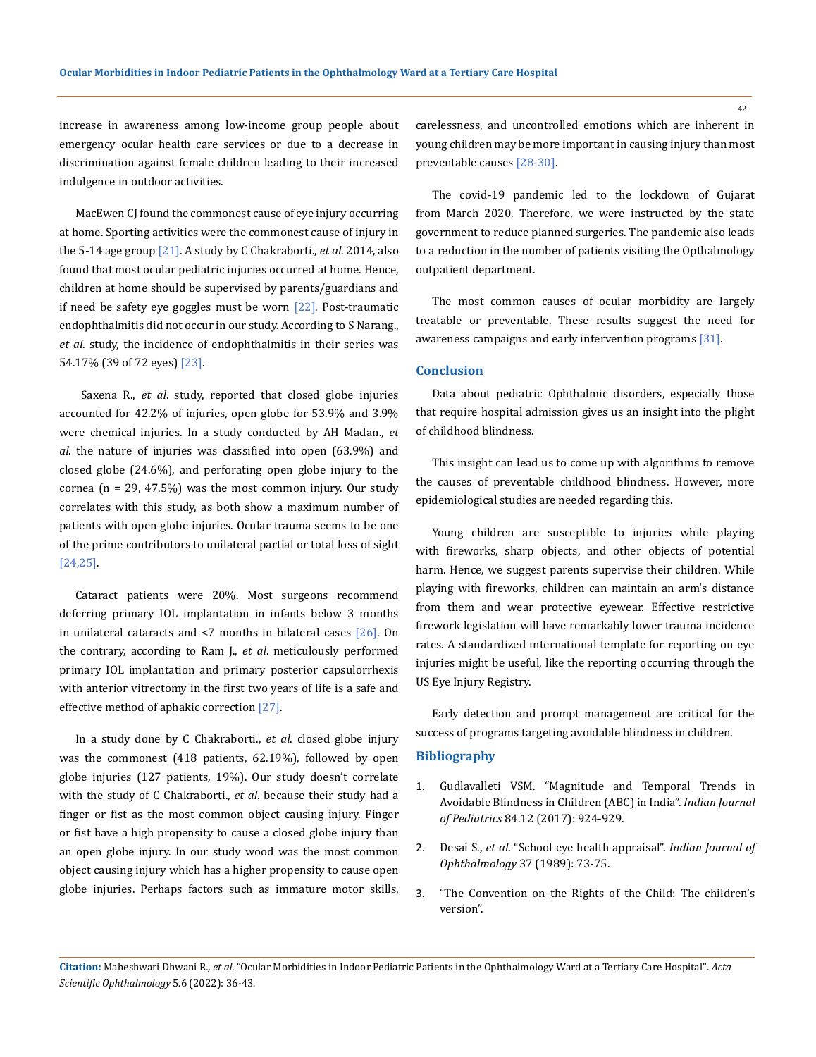increase in awareness among low-income group people about emergency ocular health care services or due to a decrease in discrimination against female children leading to their increased indulgence in outdoor activities.

MacEwen CJ found the commonest cause of eye injury occurring at home. Sporting activities were the commonest cause of injury in the 5-14 age group [21]. A study by C Chakraborti., *et al*. 2014, also found that most ocular pediatric injuries occurred at home. Hence, children at home should be supervised by parents/guardians and if need be safety eye goggles must be worn  $[22]$ . Post-traumatic endophthalmitis did not occur in our study. According to S Narang., *et al*. study, the incidence of endophthalmitis in their series was 54.17% (39 of 72 eyes) [23].

Saxena R., *et al*. study, reported that closed globe injuries accounted for 42.2% of injuries, open globe for 53.9% and 3.9% were chemical injuries. In a study conducted by AH Madan., *et al*. the nature of injuries was classified into open (63.9%) and closed globe (24.6%), and perforating open globe injury to the cornea ( $n = 29, 47.5\%$ ) was the most common injury. Our study correlates with this study, as both show a maximum number of patients with open globe injuries. Ocular trauma seems to be one of the prime contributors to unilateral partial or total loss of sight [24,25].

Cataract patients were 20%. Most surgeons recommend deferring primary IOL implantation in infants below 3 months in unilateral cataracts and  $\leq$ 7 months in bilateral cases  $[26]$ . On the contrary, according to Ram J., *et al*. meticulously performed primary IOL implantation and primary posterior capsulorrhexis with anterior vitrectomy in the first two years of life is a safe and effective method of aphakic correction [27].

In a study done by C Chakraborti., *et al*. closed globe injury was the commonest (418 patients, 62.19%), followed by open globe injuries (127 patients, 19%). Our study doesn't correlate with the study of C Chakraborti., *et al*. because their study had a finger or fist as the most common object causing injury. Finger or fist have a high propensity to cause a closed globe injury than an open globe injury. In our study wood was the most common object causing injury which has a higher propensity to cause open globe injuries. Perhaps factors such as immature motor skills, carelessness, and uncontrolled emotions which are inherent in young children may be more important in causing injury than most preventable causes [28-30].

The covid-19 pandemic led to the lockdown of Gujarat from March 2020. Therefore, we were instructed by the state government to reduce planned surgeries. The pandemic also leads to a reduction in the number of patients visiting the Opthalmology outpatient department.

The most common causes of ocular morbidity are largely treatable or preventable. These results suggest the need for awareness campaigns and early intervention programs [31].

### **Conclusion**

Data about pediatric Ophthalmic disorders, especially those that require hospital admission gives us an insight into the plight of childhood blindness.

This insight can lead us to come up with algorithms to remove the causes of preventable childhood blindness. However, more epidemiological studies are needed regarding this.

Young children are susceptible to injuries while playing with fireworks, sharp objects, and other objects of potential harm. Hence, we suggest parents supervise their children. While playing with fireworks, children can maintain an arm's distance from them and wear protective eyewear. Effective restrictive firework legislation will have remarkably lower trauma incidence rates. A standardized international template for reporting on eye injuries might be useful, like the reporting occurring through the US Eye Injury Registry.

Early detection and prompt management are critical for the success of programs targeting avoidable blindness in children.

## **Bibliography**

- 1. [Gudlavalleti VSM. "Magnitude and Temporal Trends in](https://pubmed.ncbi.nlm.nih.gov/28646264/)  [Avoidable Blindness in Children \(ABC\) in India".](https://pubmed.ncbi.nlm.nih.gov/28646264/) *Indian Journal of Pediatrics* [84.12 \(2017\): 924-929.](https://pubmed.ncbi.nlm.nih.gov/28646264/)
- 2. Desai S., *et al*[. "School eye health appraisal".](https://pubmed.ncbi.nlm.nih.gov/2638304/) *Indian Journal of Ophthalmology* [37 \(1989\): 73-75.](https://pubmed.ncbi.nlm.nih.gov/2638304/)
- 3. ["The Convention on the Rights of the Child: The children's](https://www.unicef.org/child-rights-convention/what-is-the-convention)  [version".](https://www.unicef.org/child-rights-convention/what-is-the-convention)

**Citation:** Maheshwari Dhwani R*., et al.* "Ocular Morbidities in Indoor Pediatric Patients in the Ophthalmology Ward at a Tertiary Care Hospital". *Acta Scientific Ophthalmology* 5.6 (2022): 36-43.